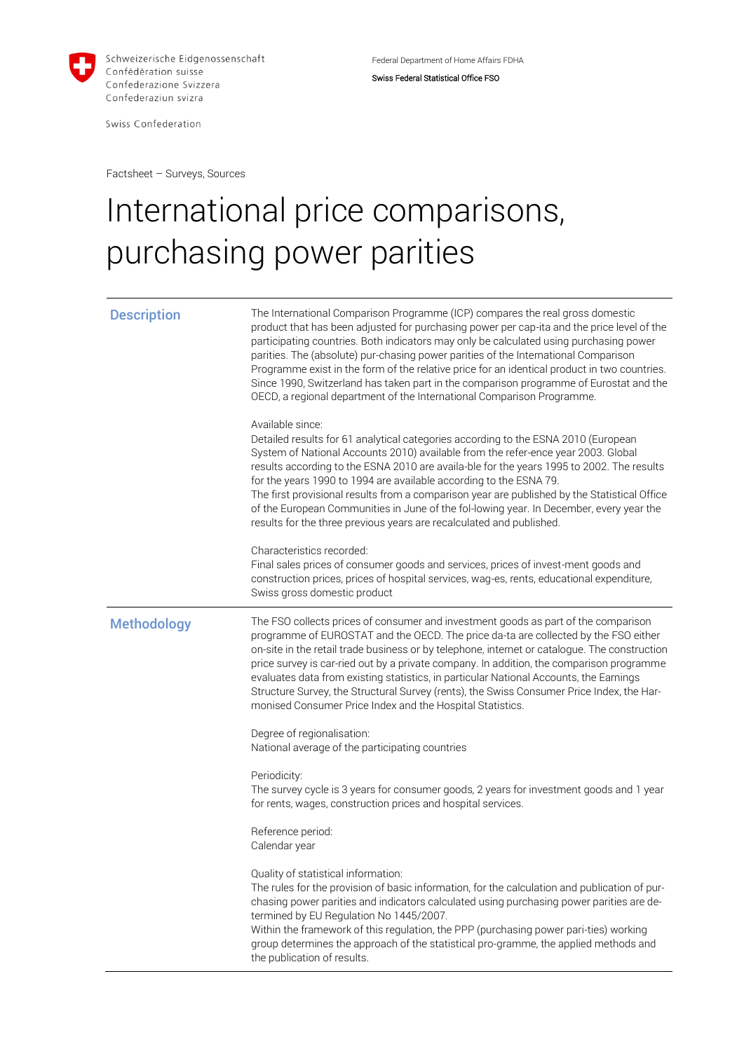

Swiss Confederation

Federal Department of Home Affairs FDHA Swiss Federal Statistical Office FSO

Factsheet – Surveys, Sources

## International price comparisons, purchasing power parities

| <b>Description</b> | The International Comparison Programme (ICP) compares the real gross domestic<br>product that has been adjusted for purchasing power per cap-ita and the price level of the<br>participating countries. Both indicators may only be calculated using purchasing power<br>parities. The (absolute) pur-chasing power parities of the International Comparison<br>Programme exist in the form of the relative price for an identical product in two countries.<br>Since 1990, Switzerland has taken part in the comparison programme of Eurostat and the<br>OECD, a regional department of the International Comparison Programme.  |
|--------------------|-----------------------------------------------------------------------------------------------------------------------------------------------------------------------------------------------------------------------------------------------------------------------------------------------------------------------------------------------------------------------------------------------------------------------------------------------------------------------------------------------------------------------------------------------------------------------------------------------------------------------------------|
|                    | Available since:<br>Detailed results for 61 analytical categories according to the ESNA 2010 (European<br>System of National Accounts 2010) available from the refer-ence year 2003. Global<br>results according to the ESNA 2010 are availa-ble for the years 1995 to 2002. The results<br>for the years 1990 to 1994 are available according to the ESNA 79.<br>The first provisional results from a comparison year are published by the Statistical Office<br>of the European Communities in June of the fol-lowing year. In December, every year the<br>results for the three previous years are recalculated and published. |
|                    | Characteristics recorded:<br>Final sales prices of consumer goods and services, prices of invest-ment goods and<br>construction prices, prices of hospital services, wag-es, rents, educational expenditure,<br>Swiss gross domestic product                                                                                                                                                                                                                                                                                                                                                                                      |
| <b>Methodology</b> | The FSO collects prices of consumer and investment goods as part of the comparison<br>programme of EUROSTAT and the OECD. The price da-ta are collected by the FSO either<br>on-site in the retail trade business or by telephone, internet or catalogue. The construction<br>price survey is car-ried out by a private company. In addition, the comparison programme<br>evaluates data from existing statistics, in particular National Accounts, the Earnings<br>Structure Survey, the Structural Survey (rents), the Swiss Consumer Price Index, the Har-<br>monised Consumer Price Index and the Hospital Statistics.        |
|                    | Degree of regionalisation:<br>National average of the participating countries                                                                                                                                                                                                                                                                                                                                                                                                                                                                                                                                                     |
|                    | Periodicity:<br>The survey cycle is 3 years for consumer goods, 2 years for investment goods and 1 year<br>for rents, wages, construction prices and hospital services.                                                                                                                                                                                                                                                                                                                                                                                                                                                           |
|                    | Reference period:<br>Calendar year                                                                                                                                                                                                                                                                                                                                                                                                                                                                                                                                                                                                |
|                    | Quality of statistical information:<br>The rules for the provision of basic information, for the calculation and publication of pur-<br>chasing power parities and indicators calculated using purchasing power parities are de-<br>termined by EU Regulation No 1445/2007.<br>Within the framework of this regulation, the PPP (purchasing power pari-ties) working<br>group determines the approach of the statistical pro-gramme, the applied methods and<br>the publication of results.                                                                                                                                       |